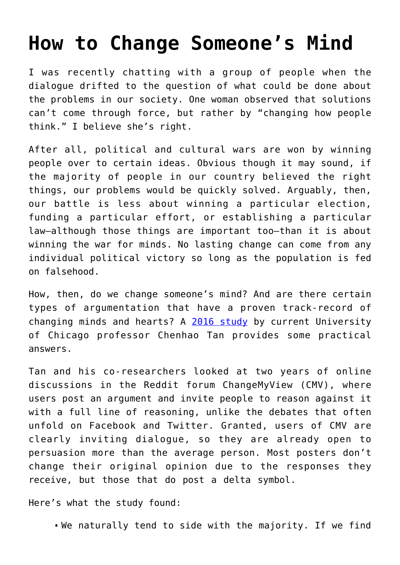## **[How to Change Someone's Mind](https://intellectualtakeout.org/2022/04/how-to-change-someones-mind/)**

I was recently chatting with a group of people when the dialogue drifted to the question of what could be done about the problems in our society. One woman observed that solutions can't come through force, but rather by "changing how people think." I believe she's right.

After all, political and cultural wars are won by winning people over to certain ideas. Obvious though it may sound, if the majority of people in our country believed the right things, our problems would be quickly solved. Arguably, then, our battle is less about winning a particular election, funding a particular effort, or establishing a particular law—although those things are important too—than it is about winning the war for minds. No lasting change can come from any individual political victory so long as the population is fed on falsehood.

How, then, do we change someone's mind? And are there certain types of argumentation that have a proven track-record of changing minds and hearts? A [2016 study](https://arxiv.org/pdf/1602.01103v1.pdf) by current University of Chicago professor Chenhao Tan provides some practical answers.

Tan and his co-researchers looked at two years of online discussions in the Reddit forum ChangeMyView (CMV), where users post an argument and invite people to reason against it with a full line of reasoning, unlike the debates that often unfold on Facebook and Twitter. Granted, users of CMV are clearly inviting dialogue, so they are already open to persuasion more than the average person. Most posters don't change their original opinion due to the responses they receive, but those that do post a delta symbol.

Here's what the study found:

We naturally tend to side with the majority. If we find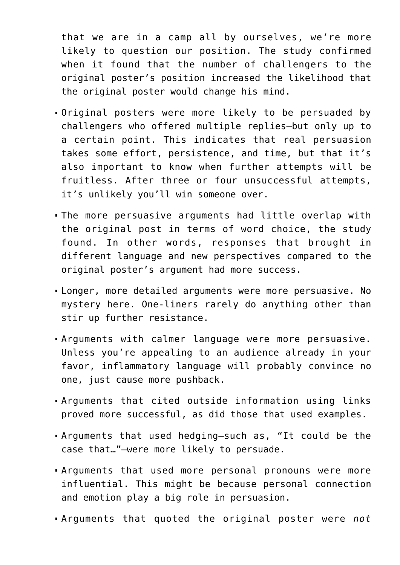that we are in a camp all by ourselves, we're more likely to question our position. The study confirmed when it found that the number of challengers to the original poster's position increased the likelihood that the original poster would change his mind.

- Original posters were more likely to be persuaded by challengers who offered multiple replies—but only up to a certain point. This indicates that real persuasion takes some effort, persistence, and time, but that it's also important to know when further attempts will be fruitless. After three or four unsuccessful attempts, it's unlikely you'll win someone over.
- The more persuasive arguments had little overlap with the original post in terms of word choice, the study found. In other words, responses that brought in different language and new perspectives compared to the original poster's argument had more success.
- Longer, more detailed arguments were more persuasive. No mystery here. One-liners rarely do anything other than stir up further resistance.
- Arguments with calmer language were more persuasive. Unless you're appealing to an audience already in your favor, inflammatory language will probably convince no one, just cause more pushback.
- Arguments that cited outside information using links proved more successful, as did those that used examples.
- Arguments that used hedging—such as, "It could be the case that…"—were more likely to persuade.
- Arguments that used more personal pronouns were more influential. This might be because personal connection and emotion play a big role in persuasion.
- Arguments that quoted the original poster were *not*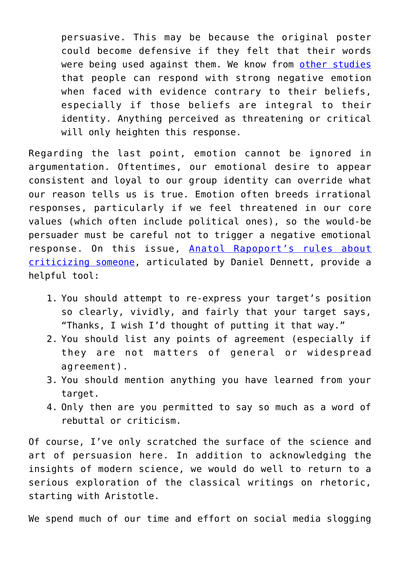persuasive. This may be because the original poster could become defensive if they felt that their words were being used against them. We know from [other studies](https://www.nature.com/articles/srep39589) that people can respond with strong negative emotion when faced with evidence contrary to their beliefs, especially if those beliefs are integral to their identity. Anything perceived as threatening or critical will only heighten this response.

Regarding the last point, emotion cannot be ignored in argumentation. Oftentimes, our emotional desire to appear consistent and loyal to our group identity can override what our reason tells us is true. Emotion often breeds irrational responses, particularly if we feel threatened in our core values (which often include political ones), so the would-be persuader must be careful not to trigger a negative emotional response. On this issue, [Anatol Rapoport's rules about](https://www.rightattitudes.com/2017/06/16/rapoport-rules-criticism/#:~:text=%E2%80%9CIf%20you%20disagree%20with%20somebody,Otherwise%20you%20should%20keep%20quiet.%E2%80%9D) [criticizing someone,](https://www.rightattitudes.com/2017/06/16/rapoport-rules-criticism/#:~:text=%E2%80%9CIf%20you%20disagree%20with%20somebody,Otherwise%20you%20should%20keep%20quiet.%E2%80%9D) articulated by Daniel Dennett, provide a helpful tool:

- 1. You should attempt to re-express your target's position so clearly, vividly, and fairly that your target says, "Thanks, I wish I'd thought of putting it that way."
- 2. You should list any points of agreement (especially if they are not matters of general or widespread agreement).
- 3. You should mention anything you have learned from your target.
- 4. Only then are you permitted to say so much as a word of rebuttal or criticism.

Of course, I've only scratched the surface of the science and art of persuasion here. In addition to acknowledging the insights of modern science, we would do well to return to a serious exploration of the classical writings on rhetoric, starting with Aristotle.

We spend much of our time and effort on social media slogging